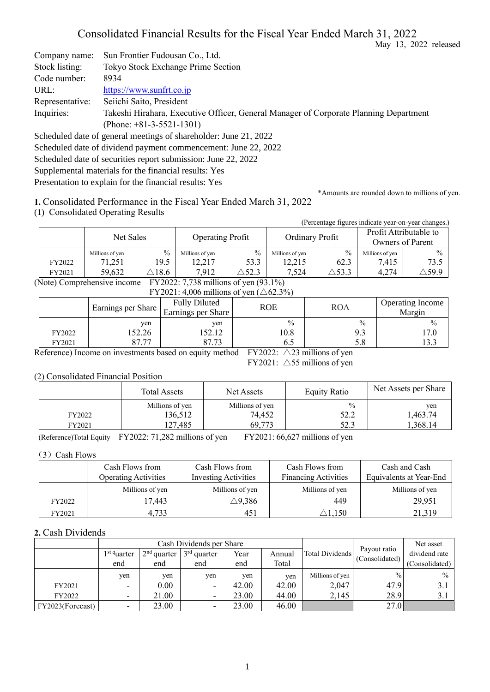# Consolidated Financial Results for the Fiscal Year Ended March 31, 2022

May 13, 2022 released

Company name: Sun Frontier Fudousan Co., Ltd. Stock listing: Tokyo Stock Exchange Prime Section Code number: 8934 URL: [https://www.sunfrt.co.jp](https://www.sunfrt.co.jp/) Representative: Seiichi Saito, President Inquiries: Takeshi Hirahara, Executive Officer, General Manager of Corporate Planning Department (Phone: +81-3-5521-1301)

Scheduled date of general meetings of shareholder: June 21, 2022

Scheduled date of dividend payment commencement: June 22, 2022

Scheduled date of securities report submission: June 22, 2022 Supplemental materials for the financial results: Yes

Presentation to explain for the financial results: Yes

\*Amounts are rounded down to millions of yen.

**1.** Consolidated Performance in the Fiscal Year Ended March 31, 2022

(1) Consolidated Operating Results

| . . |        |                 | $\overline{\phantom{0}}$ |                         |                  |                 |                  | (Percentage figures indicate year-on-year changes.) |               |
|-----|--------|-----------------|--------------------------|-------------------------|------------------|-----------------|------------------|-----------------------------------------------------|---------------|
|     |        | Net Sales       |                          | <b>Operating Profit</b> |                  | Ordinary Profit |                  | Profit Attributable to<br>Owners of Parent          |               |
|     |        | Millions of yen | $\frac{0}{0}$            | Millions of yen         | $\frac{0}{0}$    | Millions of yen | $\frac{0}{0}$    | Millions of yen                                     | $\frac{0}{0}$ |
|     | FY2022 | 71,251          | 19.5                     | 12,217                  | 53.3             | 12,215          | 62.3             | 7,415                                               | 73.5          |
|     | FY2021 | 59,632          | $\Delta 18.6$            | 7,912                   | $\triangle$ 52.3 | 7.524           | $\triangle$ 53.3 | 4,274                                               | $\Delta$ 59.9 |

(Note) Comprehensive income FY2022: 7,738 millions of yen (93.1%)  $FY2021: 4,006$  millions of yen ( $\wedge$ 62.3%)

|                  | $\Gamma$ 1 2021. 4,000 minimons of year ( $\triangle$ 02.570)<br><b>Fully Diluted</b><br><b>ROE</b><br><b>ROA</b><br>Earnings per Share<br>Earnings per Share |                        |                              |                             |                       |  |  |  |
|------------------|---------------------------------------------------------------------------------------------------------------------------------------------------------------|------------------------|------------------------------|-----------------------------|-----------------------|--|--|--|
| FY2022<br>FY2021 | ven<br>52.26<br>$^{\circ}$<br>77                                                                                                                              | ven<br>152.12<br>87.73 | $\frac{0}{0}$<br>10.8<br>6.5 | $\frac{0}{0}$<br>9.3<br>5.8 | $\frac{0}{0}$<br>17.0 |  |  |  |

Reference) Income on investments based on equity method FY2022:  $\triangle$ 23 millions of yen

FY2021:  $\triangle$ 55 millions of yen

#### (2) Consolidated Financial Position

| $\frac{0}{0}$<br>Millions of yen<br>Millions of yen<br>136,512<br>74,452<br>52.2<br>FY2022 |        | Total Assets | Net Assets | <b>Equity Ratio</b> | Net Assets per Share       |
|--------------------------------------------------------------------------------------------|--------|--------------|------------|---------------------|----------------------------|
|                                                                                            | FY2021 | 127,485      | 69,773     | 52.3                | ven<br>1,463.74<br>,368.14 |

(Reference)Total Equity FY2022: 71,282 millions of yen FY2021: 66,627 millions of yen

#### (3) Cash Flows

|        | Cash Flows from<br><b>Operating Activities</b> | Cash Flows from<br><b>Investing Activities</b> | Cash Flows from<br><b>Financing Activities</b> | Cash and Cash<br>Equivalents at Year-End |
|--------|------------------------------------------------|------------------------------------------------|------------------------------------------------|------------------------------------------|
|        | Millions of yen                                | Millions of yen                                | Millions of yen                                | Millions of yen                          |
| FY2022 | 17,443                                         | $\triangle$ 9,386                              | 449                                            | 29,951                                   |
| FY2021 | 4,733                                          | 451                                            | $\mathbin{\vartriangle}1.150$                  | 21,319                                   |

### **2.** Cash Dividends

|                  |                          |                        | Cash Dividends per Share |       |        | Net asset       |                                |                |
|------------------|--------------------------|------------------------|--------------------------|-------|--------|-----------------|--------------------------------|----------------|
|                  | 1 <sup>st q</sup> uarter | $2nd$ quarter $\vdash$ | $3rd$ quarter            | Year  | Annual | Total Dividends | Payout ratio<br>(Consolidated) | dividend rate  |
|                  | end                      | end                    | end                      | end   | Total  |                 |                                | (Consolidated) |
|                  | yen                      | ven                    | ven                      | yen   | ven    | Millions of yen | $\frac{0}{0}$                  | $\frac{0}{0}$  |
| FY2021           | $\overline{\phantom{0}}$ | 0.00                   | ۰                        | 42.00 | 42.00  | 2,047           | 47.9                           | 3.1            |
| FY2022           | $\overline{\phantom{0}}$ | 21.00                  | -                        | 23.00 | 44.00  | 2,145           | 28.9                           | 3.1            |
| FY2023(Forecast) | $\overline{\phantom{0}}$ | 23.00                  | ۰                        | 23.00 | 46.00  |                 | 27.0                           |                |